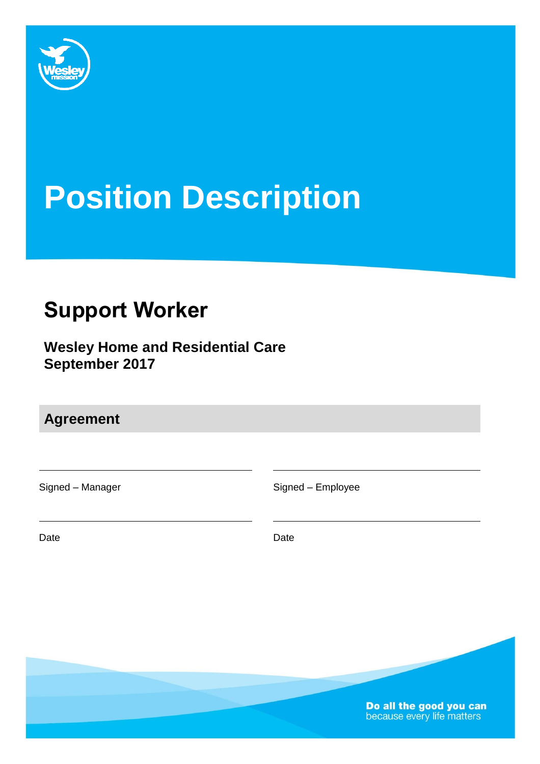

# **Position Description**

# **Support Worker**

**Wesley Home and Residential Care September 2017**

**Agreement**

Signed – Manager Signed – Employee

Date **Date Date Date Date Date** 

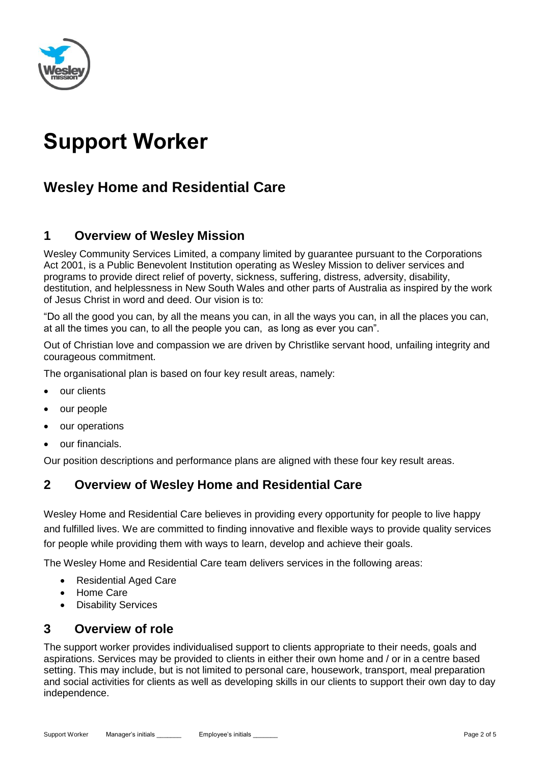

# **Support Worker**

# **Wesley Home and Residential Care**

# **1 Overview of Wesley Mission**

Wesley Community Services Limited, a company limited by guarantee pursuant to the Corporations Act 2001, is a Public Benevolent Institution operating as Wesley Mission to deliver services and programs to provide direct relief of poverty, sickness, suffering, distress, adversity, disability, destitution, and helplessness in New South Wales and other parts of Australia as inspired by the work of Jesus Christ in word and deed. Our vision is to:

"Do all the good you can, by all the means you can, in all the ways you can, in all the places you can, at all the times you can, to all the people you can, as long as ever you can".

Out of Christian love and compassion we are driven by Christlike servant hood, unfailing integrity and courageous commitment.

The organisational plan is based on four key result areas, namely:

- our clients
- our people
- our operations
- our financials.

Our position descriptions and performance plans are aligned with these four key result areas.

# **2 Overview of Wesley Home and Residential Care**

Wesley Home and Residential Care believes in providing every opportunity for people to live happy and fulfilled lives. We are committed to finding innovative and flexible ways to provide quality services for people while providing them with ways to learn, develop and achieve their goals.

The Wesley Home and Residential Care team delivers services in the following areas:

- Residential Aged Care
- Home Care
- Disability Services

# **3 Overview of role**

The support worker provides individualised support to clients appropriate to their needs, goals and aspirations. Services may be provided to clients in either their own home and / or in a centre based setting. This may include, but is not limited to personal care, housework, transport, meal preparation and social activities for clients as well as developing skills in our clients to support their own day to day independence.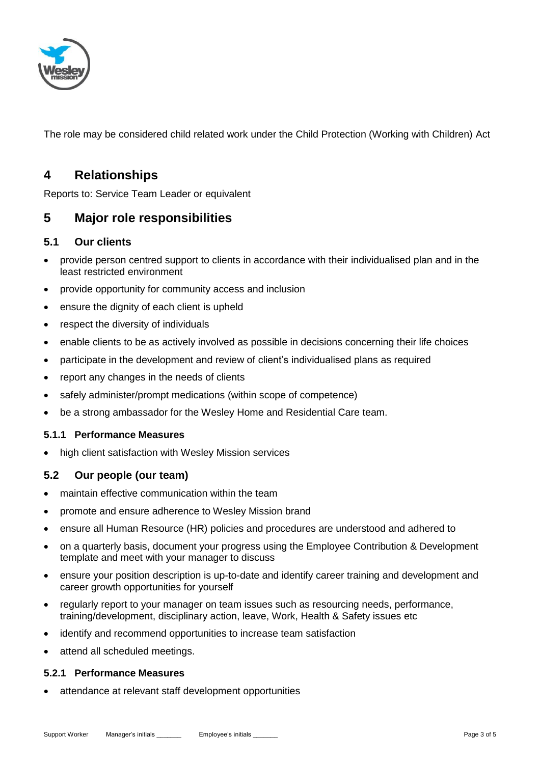

The role may be considered child related work under the Child Protection (Working with Children) Act

# **4 Relationships**

Reports to: Service Team Leader or equivalent

### **5 Major role responsibilities**

#### **5.1 Our clients**

- provide person centred support to clients in accordance with their individualised plan and in the least restricted environment
- provide opportunity for community access and inclusion
- ensure the dignity of each client is upheld
- respect the diversity of individuals
- enable clients to be as actively involved as possible in decisions concerning their life choices
- participate in the development and review of client's individualised plans as required
- report any changes in the needs of clients
- safely administer/prompt medications (within scope of competence)
- be a strong ambassador for the Wesley Home and Residential Care team.

#### **5.1.1 Performance Measures**

high client satisfaction with Wesley Mission services

#### **5.2 Our people (our team)**

- maintain effective communication within the team
- promote and ensure adherence to Wesley Mission brand
- ensure all Human Resource (HR) policies and procedures are understood and adhered to
- on a quarterly basis, document your progress using the Employee Contribution & Development template and meet with your manager to discuss
- ensure your position description is up-to-date and identify career training and development and career growth opportunities for yourself
- regularly report to your manager on team issues such as resourcing needs, performance, training/development, disciplinary action, leave, Work, Health & Safety issues etc
- identify and recommend opportunities to increase team satisfaction
- attend all scheduled meetings.

#### **5.2.1 Performance Measures**

attendance at relevant staff development opportunities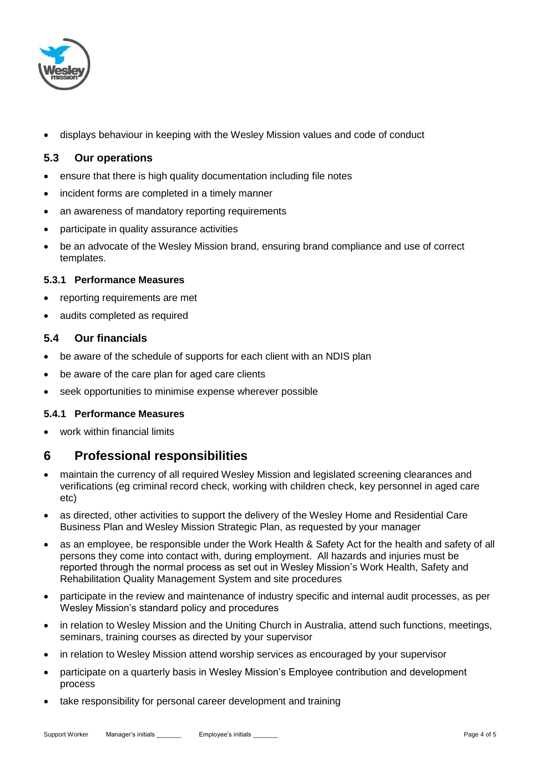

displays behaviour in keeping with the Wesley Mission values and code of conduct

#### **5.3 Our operations**

- ensure that there is high quality documentation including file notes
- incident forms are completed in a timely manner
- an awareness of mandatory reporting requirements
- participate in quality assurance activities
- be an advocate of the Wesley Mission brand, ensuring brand compliance and use of correct templates.

#### **5.3.1 Performance Measures**

- reporting requirements are met
- audits completed as required

#### **5.4 Our financials**

- be aware of the schedule of supports for each client with an NDIS plan
- be aware of the care plan for aged care clients
- seek opportunities to minimise expense wherever possible

#### **5.4.1 Performance Measures**

work within financial limits

### **6 Professional responsibilities**

- maintain the currency of all required Wesley Mission and legislated screening clearances and verifications (eg criminal record check, working with children check, key personnel in aged care etc)
- as directed, other activities to support the delivery of the Wesley Home and Residential Care Business Plan and Wesley Mission Strategic Plan, as requested by your manager
- as an employee, be responsible under the Work Health & Safety Act for the health and safety of all persons they come into contact with, during employment. All hazards and injuries must be reported through the normal process as set out in Wesley Mission's Work Health, Safety and Rehabilitation Quality Management System and site procedures
- participate in the review and maintenance of industry specific and internal audit processes, as per Wesley Mission's standard policy and procedures
- in relation to Wesley Mission and the Uniting Church in Australia, attend such functions, meetings, seminars, training courses as directed by your supervisor
- in relation to Wesley Mission attend worship services as encouraged by your supervisor
- participate on a quarterly basis in Wesley Mission's Employee contribution and development process
- take responsibility for personal career development and training